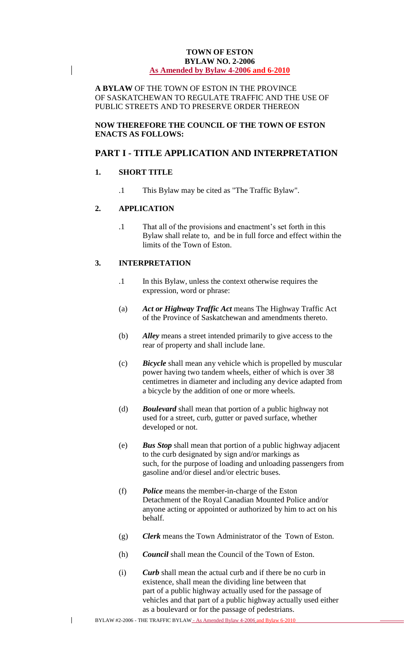#### **TOWN OF ESTON BYLAW NO. 2-2006 As Amended by Bylaw 4-2006 and 6-2010**

**A BYLAW** OF THE TOWN OF ESTON IN THE PROVINCE OF SASKATCHEWAN TO REGULATE TRAFFIC AND THE USE OF PUBLIC STREETS AND TO PRESERVE ORDER THEREON

**NOW THEREFORE THE COUNCIL OF THE TOWN OF ESTON ENACTS AS FOLLOWS:** 

## **PART I - TITLE APPLICATION AND INTERPRETATION**

## **1. SHORT TITLE**

 $\overline{\phantom{a}}$ 

.1 This Bylaw may be cited as "The Traffic Bylaw".

## **2. APPLICATION**

.1 That all of the provisions and enactment's set forth in this Bylaw shall relate to, and be in full force and effect within the limits of the Town of Eston.

## **3. INTERPRETATION**

- .1 In this Bylaw, unless the context otherwise requires the expression, word or phrase:
- (a) *Act or Highway Traffic Act* means The Highway Traffic Act of the Province of Saskatchewan and amendments thereto.
- (b) *Alley* means a street intended primarily to give access to the rear of property and shall include lane.
- (c) *Bicycle* shall mean any vehicle which is propelled by muscular power having two tandem wheels, either of which is over 38 centimetres in diameter and including any device adapted from a bicycle by the addition of one or more wheels.
- (d) *Boulevard* shall mean that portion of a public highway not used for a street, curb, gutter or paved surface, whether developed or not.
- (e) *Bus Stop* shall mean that portion of a public highway adjacent to the curb designated by sign and/or markings as such, for the purpose of loading and unloading passengers from gasoline and/or diesel and/or electric buses.
- (f) *Police* means the member-in-charge of the Eston Detachment of the Royal Canadian Mounted Police and/or anyone acting or appointed or authorized by him to act on his behalf.
- (g) *Clerk* means the Town Administrator of the Town of Eston.
- (h) *Council* shall mean the Council of the Town of Eston.
- (i) *Curb* shall mean the actual curb and if there be no curb in existence, shall mean the dividing line between that part of a public highway actually used for the passage of vehicles and that part of a public highway actually used either as a boulevard or for the passage of pedestrians.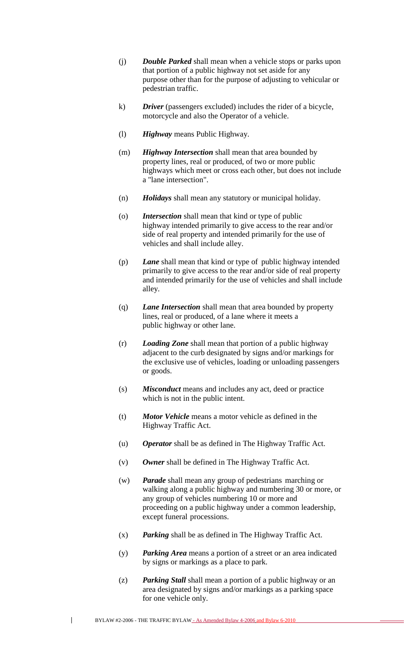- (j) *Double Parked* shall mean when a vehicle stops or parks upon that portion of a public highway not set aside for any purpose other than for the purpose of adjusting to vehicular or pedestrian traffic.
- k) *Driver* (passengers excluded) includes the rider of a bicycle, motorcycle and also the Operator of a vehicle.
- (l) *Highway* means Public Highway.
- (m) *Highway Intersection* shall mean that area bounded by property lines, real or produced, of two or more public highways which meet or cross each other, but does not include a "lane intersection".
- (n) *Holidays* shall mean any statutory or municipal holiday.
- (o) *Intersection* shall mean that kind or type of public highway intended primarily to give access to the rear and/or side of real property and intended primarily for the use of vehicles and shall include alley.
- (p) *Lane* shall mean that kind or type of public highway intended primarily to give access to the rear and/or side of real property and intended primarily for the use of vehicles and shall include alley.
- (q) *Lane Intersection* shall mean that area bounded by property lines, real or produced, of a lane where it meets a public highway or other lane.
- (r) *Loading Zone* shall mean that portion of a public highway adjacent to the curb designated by signs and/or markings for the exclusive use of vehicles, loading or unloading passengers or goods.
- (s) *Misconduct* means and includes any act, deed or practice which is not in the public intent.
- (t) *Motor Vehicle* means a motor vehicle as defined in the Highway Traffic Act.
- (u) *Operator* shall be as defined in The Highway Traffic Act.
- (v) *Owner* shall be defined in The Highway Traffic Act.
- (w) *Parade* shall mean any group of pedestrians marching or walking along a public highway and numbering 30 or more, or any group of vehicles numbering 10 or more and proceeding on a public highway under a common leadership, except funeral processions.
- (x) *Parking* shall be as defined in The Highway Traffic Act.
- (y) *Parking Area* means a portion of a street or an area indicated by signs or markings as a place to park.
- (z) *Parking Stall* shall mean a portion of a public highway or an area designated by signs and/or markings as a parking space for one vehicle only.

BYLAW #2-2006 - THE TRAFFIC BYLAW - As Amended Bylaw 4-2006 and Bylaw 6-2010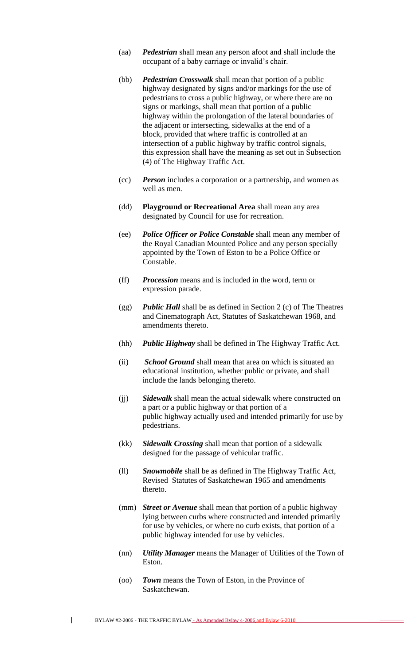- (aa) *Pedestrian* shall mean any person afoot and shall include the occupant of a baby carriage or invalid's chair.
- (bb) *Pedestrian Crosswalk* shall mean that portion of a public highway designated by signs and/or markings for the use of pedestrians to cross a public highway, or where there are no signs or markings, shall mean that portion of a public highway within the prolongation of the lateral boundaries of the adjacent or intersecting, sidewalks at the end of a block, provided that where traffic is controlled at an intersection of a public highway by traffic control signals, this expression shall have the meaning as set out in Subsection (4) of The Highway Traffic Act.
- (cc) *Person* includes a corporation or a partnership, and women as well as men.
- (dd) **Playground or Recreational Area** shall mean any area designated by Council for use for recreation.
- (ee) *Police Officer or Police Constable* shall mean any member of the Royal Canadian Mounted Police and any person specially appointed by the Town of Eston to be a Police Office or Constable.
- (ff) *Procession* means and is included in the word, term or expression parade.
- (gg) *Public Hall* shall be as defined in Section 2 (c) of The Theatres and Cinematograph Act, Statutes of Saskatchewan 1968, and amendments thereto.
- (hh) *Public Highway* shall be defined in The Highway Traffic Act.
- (ii) *School Ground* shall mean that area on which is situated an educational institution, whether public or private, and shall include the lands belonging thereto.
- (jj) *Sidewalk* shall mean the actual sidewalk where constructed on a part or a public highway or that portion of a public highway actually used and intended primarily for use by pedestrians.
- (kk) *Sidewalk Crossing* shall mean that portion of a sidewalk designed for the passage of vehicular traffic.
- (ll) *Snowmobile* shall be as defined in The Highway Traffic Act, Revised Statutes of Saskatchewan 1965 and amendments thereto.
- (mm) *Street or Avenue* shall mean that portion of a public highway lying between curbs where constructed and intended primarily for use by vehicles, or where no curb exists, that portion of a public highway intended for use by vehicles.
- (nn) *Utility Manager* means the Manager of Utilities of the Town of Eston.
- (oo) *Town* means the Town of Eston, in the Province of Saskatchewan.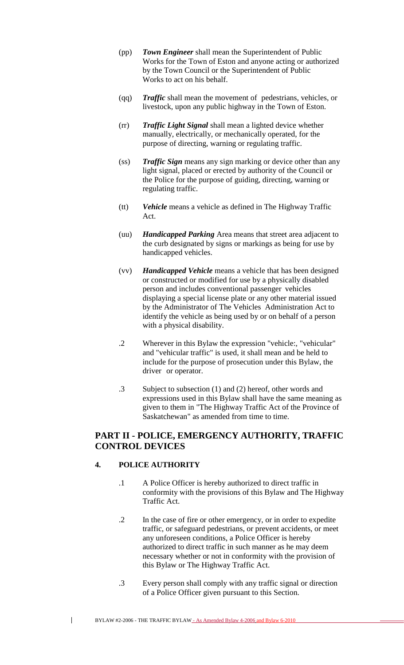- (pp) *Town Engineer* shall mean the Superintendent of Public Works for the Town of Eston and anyone acting or authorized by the Town Council or the Superintendent of Public Works to act on his behalf.
- (qq) *Traffic* shall mean the movement of pedestrians, vehicles, or livestock, upon any public highway in the Town of Eston.
- (rr) *Traffic Light Signal* shall mean a lighted device whether manually, electrically, or mechanically operated, for the purpose of directing, warning or regulating traffic.
- (ss) *Traffic Sign* means any sign marking or device other than any light signal, placed or erected by authority of the Council or the Police for the purpose of guiding, directing, warning or regulating traffic.
- (tt) *Vehicle* means a vehicle as defined in The Highway Traffic Act.
- (uu) *Handicapped Parking* Area means that street area adjacent to the curb designated by signs or markings as being for use by handicapped vehicles.
- (vv) *Handicapped Vehicle* means a vehicle that has been designed or constructed or modified for use by a physically disabled person and includes conventional passenger vehicles displaying a special license plate or any other material issued by the Administrator of The Vehicles Administration Act to identify the vehicle as being used by or on behalf of a person with a physical disability.
- .2 Wherever in this Bylaw the expression "vehicle:, "vehicular" and "vehicular traffic" is used, it shall mean and be held to include for the purpose of prosecution under this Bylaw, the driver or operator.
- .3 Subject to subsection (1) and (2) hereof, other words and expressions used in this Bylaw shall have the same meaning as given to them in "The Highway Traffic Act of the Province of Saskatchewan" as amended from time to time.

# **PART II - POLICE, EMERGENCY AUTHORITY, TRAFFIC CONTROL DEVICES**

## **4. POLICE AUTHORITY**

- .1 A Police Officer is hereby authorized to direct traffic in conformity with the provisions of this Bylaw and The Highway Traffic Act.
- .2 In the case of fire or other emergency, or in order to expedite traffic, or safeguard pedestrians, or prevent accidents, or meet any unforeseen conditions, a Police Officer is hereby authorized to direct traffic in such manner as he may deem necessary whether or not in conformity with the provision of this Bylaw or The Highway Traffic Act.
- .3 Every person shall comply with any traffic signal or direction of a Police Officer given pursuant to this Section.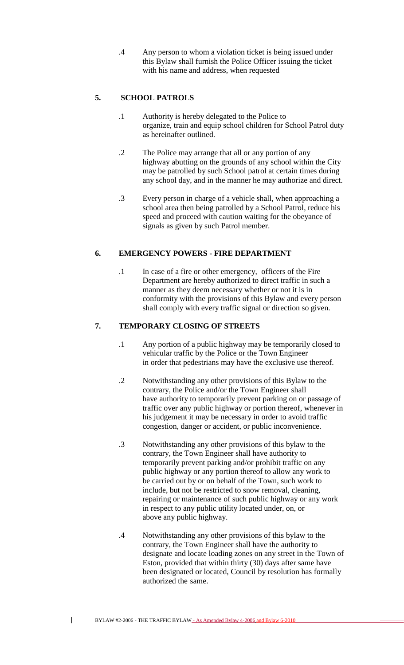.4 Any person to whom a violation ticket is being issued under this Bylaw shall furnish the Police Officer issuing the ticket with his name and address, when requested

## **5. SCHOOL PATROLS**

- .1 Authority is hereby delegated to the Police to organize, train and equip school children for School Patrol duty as hereinafter outlined.
- .2 The Police may arrange that all or any portion of any highway abutting on the grounds of any school within the City may be patrolled by such School patrol at certain times during any school day, and in the manner he may authorize and direct.
- .3 Every person in charge of a vehicle shall, when approaching a school area then being patrolled by a School Patrol, reduce his speed and proceed with caution waiting for the obeyance of signals as given by such Patrol member.

## **6. EMERGENCY POWERS - FIRE DEPARTMENT**

.1 In case of a fire or other emergency, officers of the Fire Department are hereby authorized to direct traffic in such a manner as they deem necessary whether or not it is in conformity with the provisions of this Bylaw and every person shall comply with every traffic signal or direction so given.

## **7. TEMPORARY CLOSING OF STREETS**

- .1 Any portion of a public highway may be temporarily closed to vehicular traffic by the Police or the Town Engineer in order that pedestrians may have the exclusive use thereof.
- .2 Notwithstanding any other provisions of this Bylaw to the contrary, the Police and/or the Town Engineer shall have authority to temporarily prevent parking on or passage of traffic over any public highway or portion thereof, whenever in his judgement it may be necessary in order to avoid traffic congestion, danger or accident, or public inconvenience.
- .3 Notwithstanding any other provisions of this bylaw to the contrary, the Town Engineer shall have authority to temporarily prevent parking and/or prohibit traffic on any public highway or any portion thereof to allow any work to be carried out by or on behalf of the Town, such work to include, but not be restricted to snow removal, cleaning, repairing or maintenance of such public highway or any work in respect to any public utility located under, on, or above any public highway.
- .4 Notwithstanding any other provisions of this bylaw to the contrary, the Town Engineer shall have the authority to designate and locate loading zones on any street in the Town of Eston, provided that within thirty (30) days after same have been designated or located, Council by resolution has formally authorized the same.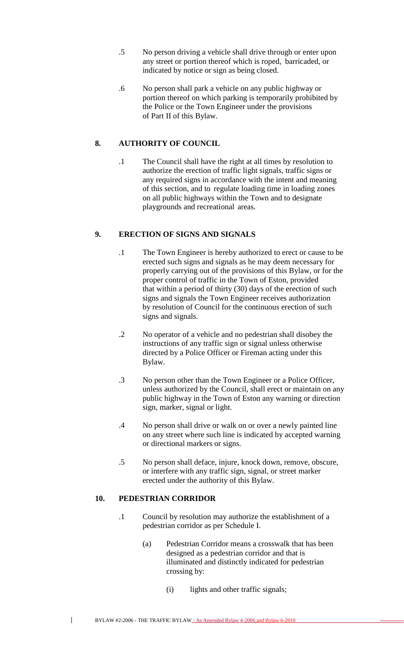- .5 No person driving a vehicle shall drive through or enter upon any street or portion thereof which is roped, barricaded, or indicated by notice or sign as being closed.
- .6 No person shall park a vehicle on any public highway or portion thereof on which parking is temporarily prohibited by the Police or the Town Engineer under the provisions of Part II of this Bylaw.

# **8. AUTHORITY OF COUNCIL**

.1 The Council shall have the right at all times by resolution to authorize the erection of traffic light signals, traffic signs or any required signs in accordance with the intent and meaning of this section, and to regulate loading time in loading zones on all public highways within the Town and to designate playgrounds and recreational areas.

## **9. ERECTION OF SIGNS AND SIGNALS**

- .1 The Town Engineer is hereby authorized to erect or cause to be erected such signs and signals as he may deem necessary for properly carrying out of the provisions of this Bylaw, or for the proper control of traffic in the Town of Eston, provided that within a period of thirty (30) days of the erection of such signs and signals the Town Engineer receives authorization by resolution of Council for the continuous erection of such signs and signals.
- .2 No operator of a vehicle and no pedestrian shall disobey the instructions of any traffic sign or signal unless otherwise directed by a Police Officer or Fireman acting under this Bylaw.
- .3 No person other than the Town Engineer or a Police Officer, unless authorized by the Council, shall erect or maintain on any public highway in the Town of Eston any warning or direction sign, marker, signal or light.
- .4 No person shall drive or walk on or over a newly painted line on any street where such line is indicated by accepted warning or directional markers or signs.
- .5 No person shall deface, injure, knock down, remove, obscure, or interfere with any traffic sign, signal, or street marker erected under the authority of this Bylaw.

## **10. PEDESTRIAN CORRIDOR**

- .1 Council by resolution may authorize the establishment of a pedestrian corridor as per Schedule I.
	- (a) Pedestrian Corridor means a crosswalk that has been designed as a pedestrian corridor and that is illuminated and distinctly indicated for pedestrian crossing by:
		- (i) lights and other traffic signals;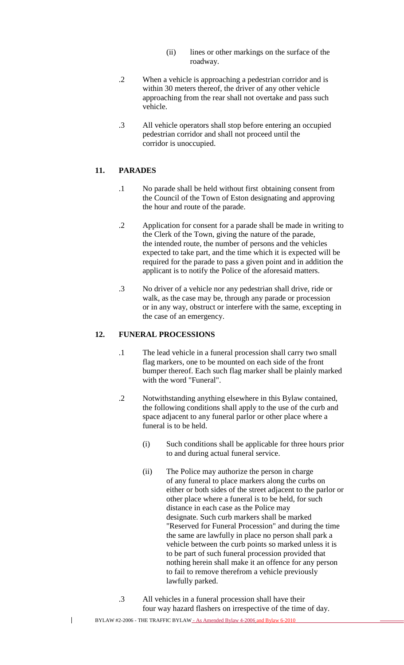- (ii) lines or other markings on the surface of the roadway.
- .2 When a vehicle is approaching a pedestrian corridor and is within 30 meters thereof, the driver of any other vehicle approaching from the rear shall not overtake and pass such vehicle.
- .3 All vehicle operators shall stop before entering an occupied pedestrian corridor and shall not proceed until the corridor is unoccupied.

#### **11. PARADES**

- .1 No parade shall be held without first obtaining consent from the Council of the Town of Eston designating and approving the hour and route of the parade.
- .2 Application for consent for a parade shall be made in writing to the Clerk of the Town, giving the nature of the parade, the intended route, the number of persons and the vehicles expected to take part, and the time which it is expected will be required for the parade to pass a given point and in addition the applicant is to notify the Police of the aforesaid matters.
- .3 No driver of a vehicle nor any pedestrian shall drive, ride or walk, as the case may be, through any parade or procession or in any way, obstruct or interfere with the same, excepting in the case of an emergency.

#### **12. FUNERAL PROCESSIONS**

- .1 The lead vehicle in a funeral procession shall carry two small flag markers, one to be mounted on each side of the front bumper thereof. Each such flag marker shall be plainly marked with the word "Funeral".
- .2 Notwithstanding anything elsewhere in this Bylaw contained, the following conditions shall apply to the use of the curb and space adjacent to any funeral parlor or other place where a funeral is to be held.
	- (i) Such conditions shall be applicable for three hours prior to and during actual funeral service.
	- (ii) The Police may authorize the person in charge of any funeral to place markers along the curbs on either or both sides of the street adjacent to the parlor or other place where a funeral is to be held, for such distance in each case as the Police may designate. Such curb markers shall be marked "Reserved for Funeral Procession" and during the time the same are lawfully in place no person shall park a vehicle between the curb points so marked unless it is to be part of such funeral procession provided that nothing herein shall make it an offence for any person to fail to remove therefrom a vehicle previously lawfully parked.
- .3 All vehicles in a funeral procession shall have their four way hazard flashers on irrespective of the time of day.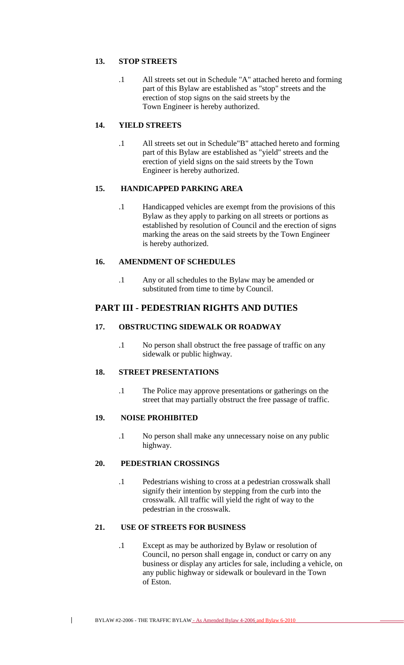## **13. STOP STREETS**

.1 All streets set out in Schedule "A" attached hereto and forming part of this Bylaw are established as "stop" streets and the erection of stop signs on the said streets by the Town Engineer is hereby authorized.

## **14. YIELD STREETS**

.1 All streets set out in Schedule"B" attached hereto and forming part of this Bylaw are established as "yield" streets and the erection of yield signs on the said streets by the Town Engineer is hereby authorized.

## **15. HANDICAPPED PARKING AREA**

.1 Handicapped vehicles are exempt from the provisions of this Bylaw as they apply to parking on all streets or portions as established by resolution of Council and the erection of signs marking the areas on the said streets by the Town Engineer is hereby authorized.

## **16. AMENDMENT OF SCHEDULES**

.1 Any or all schedules to the Bylaw may be amended or substituted from time to time by Council.

# **PART III - PEDESTRIAN RIGHTS AND DUTIES**

## **17. OBSTRUCTING SIDEWALK OR ROADWAY**

.1 No person shall obstruct the free passage of traffic on any sidewalk or public highway.

## **18. STREET PRESENTATIONS**

.1 The Police may approve presentations or gatherings on the street that may partially obstruct the free passage of traffic.

## **19. NOISE PROHIBITED**

 $\mathbf{I}$ 

.1 No person shall make any unnecessary noise on any public highway.

## **20. PEDESTRIAN CROSSINGS**

.1 Pedestrians wishing to cross at a pedestrian crosswalk shall signify their intention by stepping from the curb into the crosswalk. All traffic will yield the right of way to the pedestrian in the crosswalk.

## **21. USE OF STREETS FOR BUSINESS**

.1 Except as may be authorized by Bylaw or resolution of Council, no person shall engage in, conduct or carry on any business or display any articles for sale, including a vehicle, on any public highway or sidewalk or boulevard in the Town of Eston.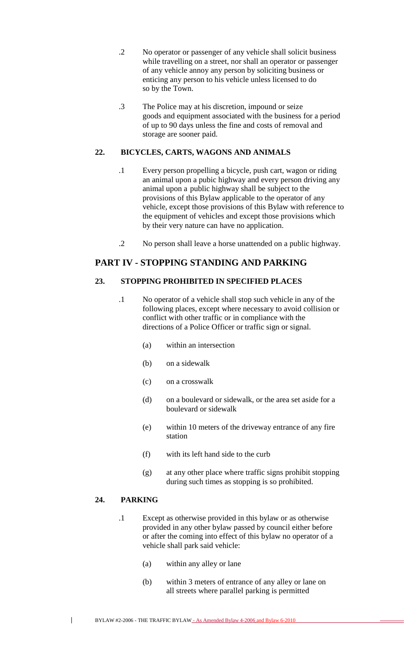- .2 No operator or passenger of any vehicle shall solicit business while travelling on a street, nor shall an operator or passenger of any vehicle annoy any person by soliciting business or enticing any person to his vehicle unless licensed to do so by the Town.
- .3 The Police may at his discretion, impound or seize goods and equipment associated with the business for a period of up to 90 days unless the fine and costs of removal and storage are sooner paid.

## **22. BICYCLES, CARTS, WAGONS AND ANIMALS**

- .1 Every person propelling a bicycle, push cart, wagon or riding an animal upon a pubic highway and every person driving any animal upon a public highway shall be subject to the provisions of this Bylaw applicable to the operator of any vehicle, except those provisions of this Bylaw with reference to the equipment of vehicles and except those provisions which by their very nature can have no application.
- .2 No person shall leave a horse unattended on a public highway.

# **PART IV - STOPPING STANDING AND PARKING**

## **23. STOPPING PROHIBITED IN SPECIFIED PLACES**

- .1 No operator of a vehicle shall stop such vehicle in any of the following places, except where necessary to avoid collision or conflict with other traffic or in compliance with the directions of a Police Officer or traffic sign or signal.
	- (a) within an intersection
	- (b) on a sidewalk
	- (c) on a crosswalk
	- (d) on a boulevard or sidewalk, or the area set aside for a boulevard or sidewalk
	- (e) within 10 meters of the driveway entrance of any fire station
	- (f) with its left hand side to the curb
	- (g) at any other place where traffic signs prohibit stopping during such times as stopping is so prohibited.

## **24. PARKING**

- .1 Except as otherwise provided in this bylaw or as otherwise provided in any other bylaw passed by council either before or after the coming into effect of this bylaw no operator of a vehicle shall park said vehicle:
	- (a) within any alley or lane
	- (b) within 3 meters of entrance of any alley or lane on all streets where parallel parking is permitted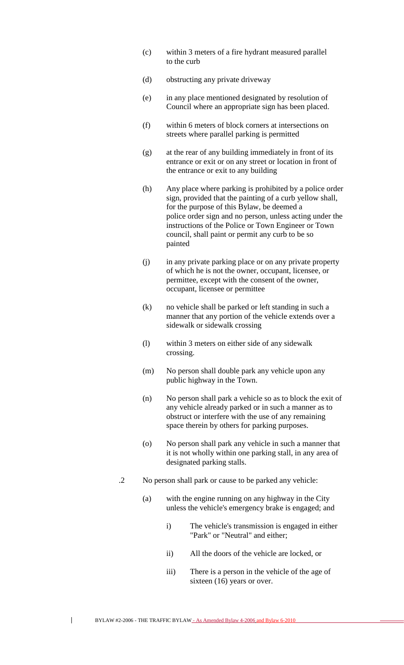- (c) within 3 meters of a fire hydrant measured parallel to the curb
- (d) obstructing any private driveway
- (e) in any place mentioned designated by resolution of Council where an appropriate sign has been placed.
- (f) within 6 meters of block corners at intersections on streets where parallel parking is permitted
- (g) at the rear of any building immediately in front of its entrance or exit or on any street or location in front of the entrance or exit to any building
- (h) Any place where parking is prohibited by a police order sign, provided that the painting of a curb yellow shall, for the purpose of this Bylaw, be deemed a police order sign and no person, unless acting under the instructions of the Police or Town Engineer or Town council, shall paint or permit any curb to be so painted
- (j) in any private parking place or on any private property of which he is not the owner, occupant, licensee, or permittee, except with the consent of the owner, occupant, licensee or permittee
- (k) no vehicle shall be parked or left standing in such a manner that any portion of the vehicle extends over a sidewalk or sidewalk crossing
- (l) within 3 meters on either side of any sidewalk crossing.
- (m) No person shall double park any vehicle upon any public highway in the Town.
- (n) No person shall park a vehicle so as to block the exit of any vehicle already parked or in such a manner as to obstruct or interfere with the use of any remaining space therein by others for parking purposes.
- (o) No person shall park any vehicle in such a manner that it is not wholly within one parking stall, in any area of designated parking stalls.
- .2 No person shall park or cause to be parked any vehicle:
	- (a) with the engine running on any highway in the City unless the vehicle's emergency brake is engaged; and
		- i) The vehicle's transmission is engaged in either "Park" or "Neutral" and either;
		- ii) All the doors of the vehicle are locked, or
		- iii) There is a person in the vehicle of the age of sixteen (16) years or over.

BYLAW #2-2006 - THE TRAFFIC BYLAW - As Amended Bylaw 4-2006 and Bylaw 6-2010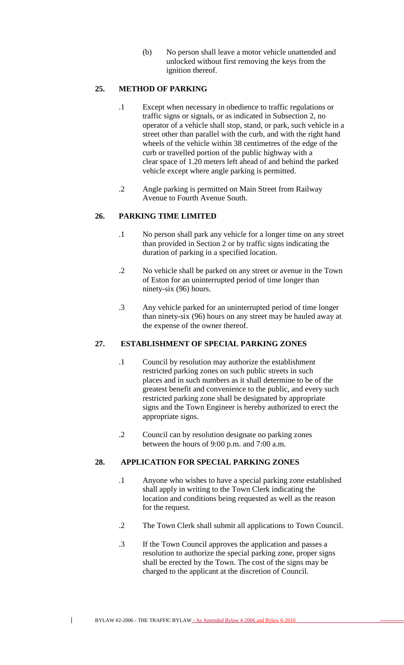(b) No person shall leave a motor vehicle unattended and unlocked without first removing the keys from the ignition thereof.

## **25. METHOD OF PARKING**

- .1 Except when necessary in obedience to traffic regulations or traffic signs or signals, or as indicated in Subsection 2, no operator of a vehicle shall stop, stand, or park, such vehicle in a street other than parallel with the curb, and with the right hand wheels of the vehicle within 38 centimetres of the edge of the curb or travelled portion of the public highway with a clear space of 1.20 meters left ahead of and behind the parked vehicle except where angle parking is permitted.
- .2 Angle parking is permitted on Main Street from Railway Avenue to Fourth Avenue South.

# **26. PARKING TIME LIMITED**

- .1 No person shall park any vehicle for a longer time on any street than provided in Section 2 or by traffic signs indicating the duration of parking in a specified location.
- .2 No vehicle shall be parked on any street or avenue in the Town of Eston for an uninterrupted period of time longer than ninety-six (96) hours.
- .3 Any vehicle parked for an uninterrupted period of time longer than ninety-six (96) hours on any street may be hauled away at the expense of the owner thereof.

## **27. ESTABLISHMENT OF SPECIAL PARKING ZONES**

- .1 Council by resolution may authorize the establishment restricted parking zones on such public streets in such places and in such numbers as it shall determine to be of the greatest benefit and convenience to the public, and every such restricted parking zone shall be designated by appropriate signs and the Town Engineer is hereby authorized to erect the appropriate signs.
- .2 Council can by resolution designate no parking zones between the hours of 9:00 p.m. and 7:00 a.m.

## **28. APPLICATION FOR SPECIAL PARKING ZONES**

- .1 Anyone who wishes to have a special parking zone established shall apply in writing to the Town Clerk indicating the location and conditions being requested as well as the reason for the request.
- .2 The Town Clerk shall submit all applications to Town Council.
- .3 If the Town Council approves the application and passes a resolution to authorize the special parking zone, proper signs shall be erected by the Town. The cost of the signs may be charged to the applicant at the discretion of Council.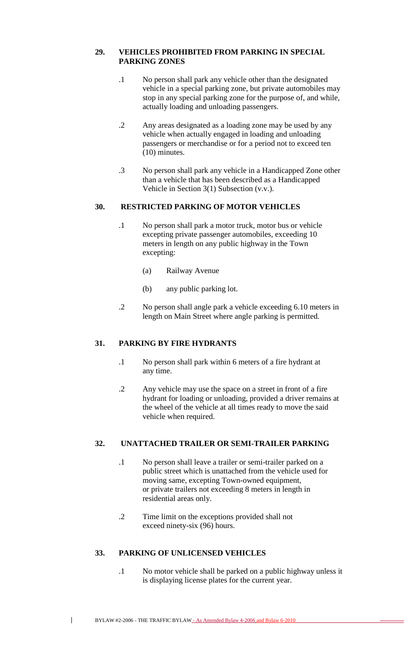#### **29. VEHICLES PROHIBITED FROM PARKING IN SPECIAL PARKING ZONES**

- .1 No person shall park any vehicle other than the designated vehicle in a special parking zone, but private automobiles may stop in any special parking zone for the purpose of, and while, actually loading and unloading passengers.
- .2 Any areas designated as a loading zone may be used by any vehicle when actually engaged in loading and unloading passengers or merchandise or for a period not to exceed ten (10) minutes.
- .3 No person shall park any vehicle in a Handicapped Zone other than a vehicle that has been described as a Handicapped Vehicle in Section 3(1) Subsection (v.v.).

#### **30. RESTRICTED PARKING OF MOTOR VEHICLES**

- .1 No person shall park a motor truck, motor bus or vehicle excepting private passenger automobiles, exceeding 10 meters in length on any public highway in the Town excepting:
	- (a) Railway Avenue
	- (b) any public parking lot.
- .2 No person shall angle park a vehicle exceeding 6.10 meters in length on Main Street where angle parking is permitted.

## **31. PARKING BY FIRE HYDRANTS**

- .1 No person shall park within 6 meters of a fire hydrant at any time.
- .2 Any vehicle may use the space on a street in front of a fire hydrant for loading or unloading, provided a driver remains at the wheel of the vehicle at all times ready to move the said vehicle when required.

#### **32. UNATTACHED TRAILER OR SEMI-TRAILER PARKING**

- .1 No person shall leave a trailer or semi-trailer parked on a public street which is unattached from the vehicle used for moving same, excepting Town-owned equipment, or private trailers not exceeding 8 meters in length in residential areas only.
- .2 Time limit on the exceptions provided shall not exceed ninety-six (96) hours.

# **33. PARKING OF UNLICENSED VEHICLES**

 $\overline{1}$ 

.1 No motor vehicle shall be parked on a public highway unless it is displaying license plates for the current year.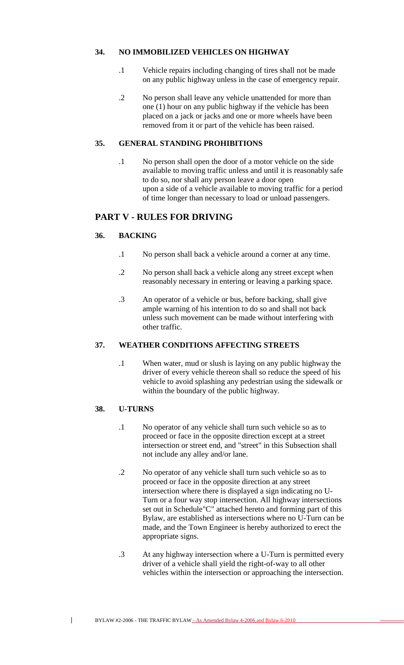## **34. NO IMMOBILIZED VEHICLES ON HIGHWAY**

- .1 Vehicle repairs including changing of tires shall not be made on any public highway unless in the case of emergency repair.
- .2 No person shall leave any vehicle unattended for more than one (1) hour on any public highway if the vehicle has been placed on a jack or jacks and one or more wheels have been removed from it or part of the vehicle has been raised.

#### **35. GENERAL STANDING PROHIBITIONS**

.1 No person shall open the door of a motor vehicle on the side available to moving traffic unless and until it is reasonably safe to do so, nor shall any person leave a door open upon a side of a vehicle available to moving traffic for a period of time longer than necessary to load or unload passengers.

# **PART V - RULES FOR DRIVING**

## **36. BACKING**

- .1 No person shall back a vehicle around a corner at any time.
- .2 No person shall back a vehicle along any street except when reasonably necessary in entering or leaving a parking space.
- .3 An operator of a vehicle or bus, before backing, shall give ample warning of his intention to do so and shall not back unless such movement can be made without interfering with other traffic.

# **37. WEATHER CONDITIONS AFFECTING STREETS**

.1 When water, mud or slush is laying on any public highway the driver of every vehicle thereon shall so reduce the speed of his vehicle to avoid splashing any pedestrian using the sidewalk or within the boundary of the public highway.

#### **38. U-TURNS**

- .1 No operator of any vehicle shall turn such vehicle so as to proceed or face in the opposite direction except at a street intersection or street end, and "street" in this Subsection shall not include any alley and/or lane.
- .2 No operator of any vehicle shall turn such vehicle so as to proceed or face in the opposite direction at any street intersection where there is displayed a sign indicating no U-Turn or a four way stop intersection. All highway intersections set out in Schedule"C" attached hereto and forming part of this Bylaw, are established as intersections where no U-Turn can be made, and the Town Engineer is hereby authorized to erect the appropriate signs.
- .3 At any highway intersection where a U-Turn is permitted every driver of a vehicle shall yield the right-of-way to all other vehicles within the intersection or approaching the intersection.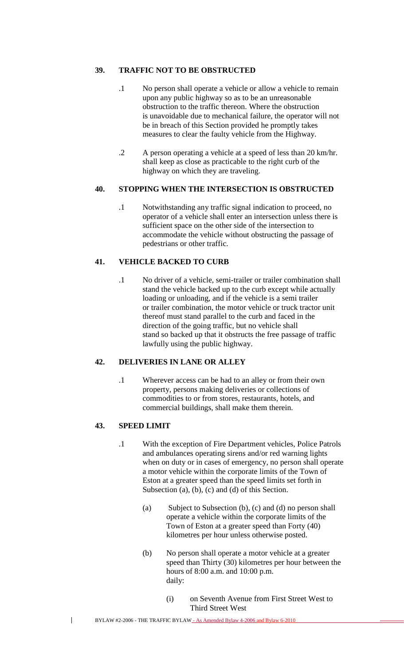## **39. TRAFFIC NOT TO BE OBSTRUCTED**

- .1 No person shall operate a vehicle or allow a vehicle to remain upon any public highway so as to be an unreasonable obstruction to the traffic thereon. Where the obstruction is unavoidable due to mechanical failure, the operator will not be in breach of this Section provided he promptly takes measures to clear the faulty vehicle from the Highway.
- .2 A person operating a vehicle at a speed of less than 20 km/hr. shall keep as close as practicable to the right curb of the highway on which they are traveling.

#### **40. STOPPING WHEN THE INTERSECTION IS OBSTRUCTED**

.1 Notwithstanding any traffic signal indication to proceed, no operator of a vehicle shall enter an intersection unless there is sufficient space on the other side of the intersection to accommodate the vehicle without obstructing the passage of pedestrians or other traffic.

## **41. VEHICLE BACKED TO CURB**

.1 No driver of a vehicle, semi-trailer or trailer combination shall stand the vehicle backed up to the curb except while actually loading or unloading, and if the vehicle is a semi trailer or trailer combination, the motor vehicle or truck tractor unit thereof must stand parallel to the curb and faced in the direction of the going traffic, but no vehicle shall stand so backed up that it obstructs the free passage of traffic lawfully using the public highway.

## **42. DELIVERIES IN LANE OR ALLEY**

.1 Wherever access can be had to an alley or from their own property, persons making deliveries or collections of commodities to or from stores, restaurants, hotels, and commercial buildings, shall make them therein.

## **43. SPEED LIMIT**

- .1 With the exception of Fire Department vehicles, Police Patrols and ambulances operating sirens and/or red warning lights when on duty or in cases of emergency, no person shall operate a motor vehicle within the corporate limits of the Town of Eston at a greater speed than the speed limits set forth in Subsection (a), (b), (c) and (d) of this Section.
	- (a) Subject to Subsection (b), (c) and (d) no person shall operate a vehicle within the corporate limits of the Town of Eston at a greater speed than Forty (40) kilometres per hour unless otherwise posted.
	- (b) No person shall operate a motor vehicle at a greater speed than Thirty (30) kilometres per hour between the hours of 8:00 a.m. and 10:00 p.m. daily:
		- (i) on Seventh Avenue from First Street West to Third Street West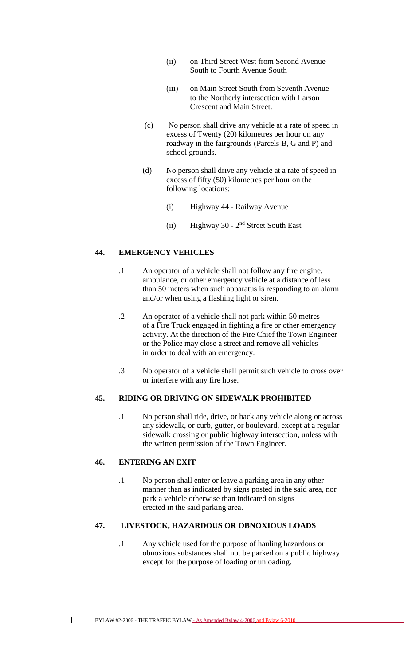- (ii) on Third Street West from Second Avenue South to Fourth Avenue South
- (iii) on Main Street South from Seventh Avenue to the Northerly intersection with Larson Crescent and Main Street.
- (c) No person shall drive any vehicle at a rate of speed in excess of Twenty (20) kilometres per hour on any roadway in the fairgrounds (Parcels B, G and P) and school grounds.
- (d) No person shall drive any vehicle at a rate of speed in excess of fifty (50) kilometres per hour on the following locations:
	- (i) Highway 44 Railway Avenue
	- $(ii)$  Highway 30  $2<sup>nd</sup>$  Street South East

## **44. EMERGENCY VEHICLES**

- .1 An operator of a vehicle shall not follow any fire engine, ambulance, or other emergency vehicle at a distance of less than 50 meters when such apparatus is responding to an alarm and/or when using a flashing light or siren.
- .2 An operator of a vehicle shall not park within 50 metres of a Fire Truck engaged in fighting a fire or other emergency activity. At the direction of the Fire Chief the Town Engineer or the Police may close a street and remove all vehicles in order to deal with an emergency.
- .3 No operator of a vehicle shall permit such vehicle to cross over or interfere with any fire hose.

#### **45. RIDING OR DRIVING ON SIDEWALK PROHIBITED**

.1 No person shall ride, drive, or back any vehicle along or across any sidewalk, or curb, gutter, or boulevard, except at a regular sidewalk crossing or public highway intersection, unless with the written permission of the Town Engineer.

## **46. ENTERING AN EXIT**

 $\mathbf{I}$ 

.1 No person shall enter or leave a parking area in any other manner than as indicated by signs posted in the said area, nor park a vehicle otherwise than indicated on signs erected in the said parking area.

#### **47. LIVESTOCK, HAZARDOUS OR OBNOXIOUS LOADS**

.1 Any vehicle used for the purpose of hauling hazardous or obnoxious substances shall not be parked on a public highway except for the purpose of loading or unloading.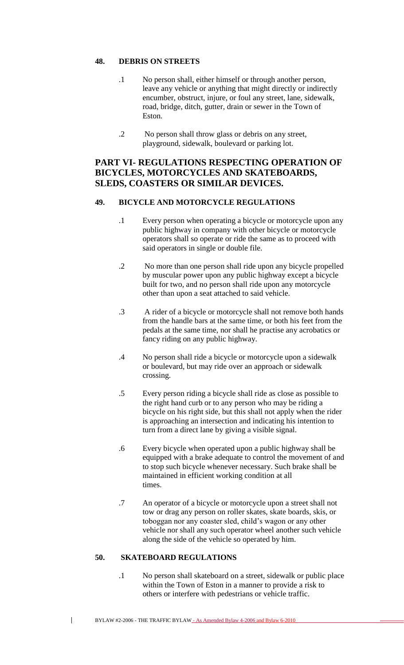#### **48. DEBRIS ON STREETS**

- .1 No person shall, either himself or through another person, leave any vehicle or anything that might directly or indirectly encumber, obstruct, injure, or foul any street, lane, sidewalk, road, bridge, ditch, gutter, drain or sewer in the Town of Eston.
- .2 No person shall throw glass or debris on any street, playground, sidewalk, boulevard or parking lot.

# **PART VI- REGULATIONS RESPECTING OPERATION OF BICYCLES, MOTORCYCLES AND SKATEBOARDS, SLEDS, COASTERS OR SIMILAR DEVICES.**

#### **49. BICYCLE AND MOTORCYCLE REGULATIONS**

- .1 Every person when operating a bicycle or motorcycle upon any public highway in company with other bicycle or motorcycle operators shall so operate or ride the same as to proceed with said operators in single or double file.
- .2 No more than one person shall ride upon any bicycle propelled by muscular power upon any public highway except a bicycle built for two, and no person shall ride upon any motorcycle other than upon a seat attached to said vehicle.
- .3 A rider of a bicycle or motorcycle shall not remove both hands from the handle bars at the same time, or both his feet from the pedals at the same time, nor shall he practise any acrobatics or fancy riding on any public highway.
- .4 No person shall ride a bicycle or motorcycle upon a sidewalk or boulevard, but may ride over an approach or sidewalk crossing.
- .5 Every person riding a bicycle shall ride as close as possible to the right hand curb or to any person who may be riding a bicycle on his right side, but this shall not apply when the rider is approaching an intersection and indicating his intention to turn from a direct lane by giving a visible signal.
- .6 Every bicycle when operated upon a public highway shall be equipped with a brake adequate to control the movement of and to stop such bicycle whenever necessary. Such brake shall be maintained in efficient working condition at all times.
- .7 An operator of a bicycle or motorcycle upon a street shall not tow or drag any person on roller skates, skate boards, skis, or toboggan nor any coaster sled, child's wagon or any other vehicle nor shall any such operator wheel another such vehicle along the side of the vehicle so operated by him.

## **50. SKATEBOARD REGULATIONS**

 $\mathbf{I}$ 

.1 No person shall skateboard on a street, sidewalk or public place within the Town of Eston in a manner to provide a risk to others or interfere with pedestrians or vehicle traffic.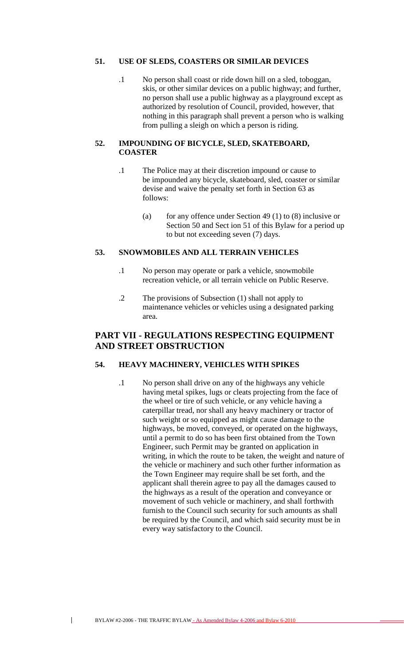## **51. USE OF SLEDS, COASTERS OR SIMILAR DEVICES**

.1 No person shall coast or ride down hill on a sled, toboggan, skis, or other similar devices on a public highway; and further, no person shall use a public highway as a playground except as authorized by resolution of Council, provided, however, that nothing in this paragraph shall prevent a person who is walking from pulling a sleigh on which a person is riding.

#### **52. IMPOUNDING OF BICYCLE, SLED, SKATEBOARD, COASTER**

- .1 The Police may at their discretion impound or cause to be impounded any bicycle, skateboard, sled, coaster or similar devise and waive the penalty set forth in Section 63 as follows:
	- (a) for any offence under Section 49 (1) to  $(8)$  inclusive or Section 50 and Sect ion 51 of this Bylaw for a period up to but not exceeding seven (7) days.

## **53. SNOWMOBILES AND ALL TERRAIN VEHICLES**

- .1 No person may operate or park a vehicle, snowmobile recreation vehicle, or all terrain vehicle on Public Reserve.
- .2 The provisions of Subsection (1) shall not apply to maintenance vehicles or vehicles using a designated parking area.

# **PART VII - REGULATIONS RESPECTING EQUIPMENT AND STREET OBSTRUCTION**

## **54. HEAVY MACHINERY, VEHICLES WITH SPIKES**

.1 No person shall drive on any of the highways any vehicle having metal spikes, lugs or cleats projecting from the face of the wheel or tire of such vehicle, or any vehicle having a caterpillar tread, nor shall any heavy machinery or tractor of such weight or so equipped as might cause damage to the highways, be moved, conveyed, or operated on the highways, until a permit to do so has been first obtained from the Town Engineer, such Permit may be granted on application in writing, in which the route to be taken, the weight and nature of the vehicle or machinery and such other further information as the Town Engineer may require shall be set forth, and the applicant shall therein agree to pay all the damages caused to the highways as a result of the operation and conveyance or movement of such vehicle or machinery, and shall forthwith furnish to the Council such security for such amounts as shall be required by the Council, and which said security must be in every way satisfactory to the Council.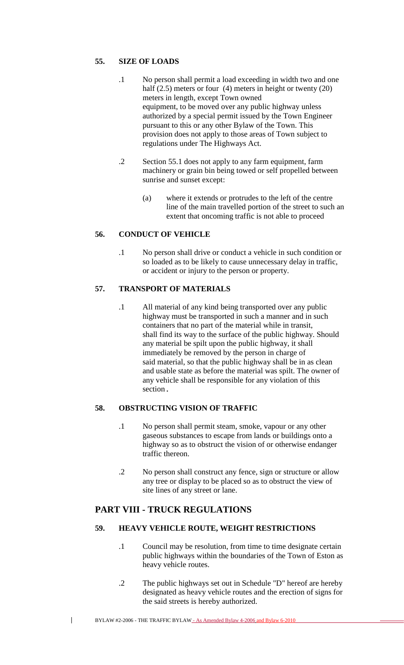## **55. SIZE OF LOADS**

- .1 No person shall permit a load exceeding in width two and one half (2.5) meters or four (4) meters in height or twenty (20) meters in length, except Town owned equipment, to be moved over any public highway unless authorized by a special permit issued by the Town Engineer pursuant to this or any other Bylaw of the Town. This provision does not apply to those areas of Town subject to regulations under The Highways Act.
- .2 Section 55.1 does not apply to any farm equipment, farm machinery or grain bin being towed or self propelled between sunrise and sunset except:
	- (a) where it extends or protrudes to the left of the centre line of the main travelled portion of the street to such an extent that oncoming traffic is not able to proceed

# **56. CONDUCT OF VEHICLE**

.1 No person shall drive or conduct a vehicle in such condition or so loaded as to be likely to cause unnecessary delay in traffic, or accident or injury to the person or property.

## **57. TRANSPORT OF MATERIALS**

.1 All material of any kind being transported over any public highway must be transported in such a manner and in such containers that no part of the material while in transit, shall find its way to the surface of the public highway. Should any material be spilt upon the public highway, it shall immediately be removed by the person in charge of said material, so that the public highway shall be in as clean and usable state as before the material was spilt. The owner of any vehicle shall be responsible for any violation of this section.

#### **58. OBSTRUCTING VISION OF TRAFFIC**

- .1 No person shall permit steam, smoke, vapour or any other gaseous substances to escape from lands or buildings onto a highway so as to obstruct the vision of or otherwise endanger traffic thereon.
- .2 No person shall construct any fence, sign or structure or allow any tree or display to be placed so as to obstruct the view of site lines of any street or lane.

# **PART VIII - TRUCK REGULATIONS**

## **59. HEAVY VEHICLE ROUTE, WEIGHT RESTRICTIONS**

- .1 Council may be resolution, from time to time designate certain public highways within the boundaries of the Town of Eston as heavy vehicle routes.
- .2 The public highways set out in Schedule "D" hereof are hereby designated as heavy vehicle routes and the erection of signs for the said streets is hereby authorized.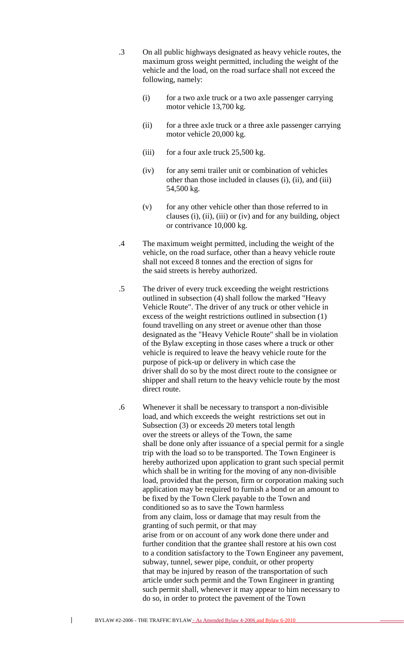- .3 On all public highways designated as heavy vehicle routes, the maximum gross weight permitted, including the weight of the vehicle and the load, on the road surface shall not exceed the following, namely:
	- (i) for a two axle truck or a two axle passenger carrying motor vehicle 13,700 kg.
	- (ii) for a three axle truck or a three axle passenger carrying motor vehicle 20,000 kg.
	- (iii) for a four axle truck  $25,500$  kg.
	- (iv) for any semi trailer unit or combination of vehicles other than those included in clauses (i), (ii), and (iii) 54,500 kg.
	- (v) for any other vehicle other than those referred to in clauses (i), (ii), (iii) or (iv) and for any building, object or contrivance 10,000 kg.
- .4 The maximum weight permitted, including the weight of the vehicle, on the road surface, other than a heavy vehicle route shall not exceed 8 tonnes and the erection of signs for the said streets is hereby authorized.
- .5 The driver of every truck exceeding the weight restrictions outlined in subsection (4) shall follow the marked "Heavy Vehicle Route". The driver of any truck or other vehicle in excess of the weight restrictions outlined in subsection (1) found travelling on any street or avenue other than those designated as the "Heavy Vehicle Route" shall be in violation of the Bylaw excepting in those cases where a truck or other vehicle is required to leave the heavy vehicle route for the purpose of pick-up or delivery in which case the driver shall do so by the most direct route to the consignee or shipper and shall return to the heavy vehicle route by the most direct route.
- .6 Whenever it shall be necessary to transport a non-divisible load, and which exceeds the weight restrictions set out in Subsection (3) or exceeds 20 meters total length over the streets or alleys of the Town, the same shall be done only after issuance of a special permit for a single trip with the load so to be transported. The Town Engineer is hereby authorized upon application to grant such special permit which shall be in writing for the moving of any non-divisible load, provided that the person, firm or corporation making such application may be required to furnish a bond or an amount to be fixed by the Town Clerk payable to the Town and conditioned so as to save the Town harmless from any claim, loss or damage that may result from the granting of such permit, or that may arise from or on account of any work done there under and further condition that the grantee shall restore at his own cost to a condition satisfactory to the Town Engineer any pavement, subway, tunnel, sewer pipe, conduit, or other property that may be injured by reason of the transportation of such article under such permit and the Town Engineer in granting such permit shall, whenever it may appear to him necessary to do so, in order to protect the pavement of the Town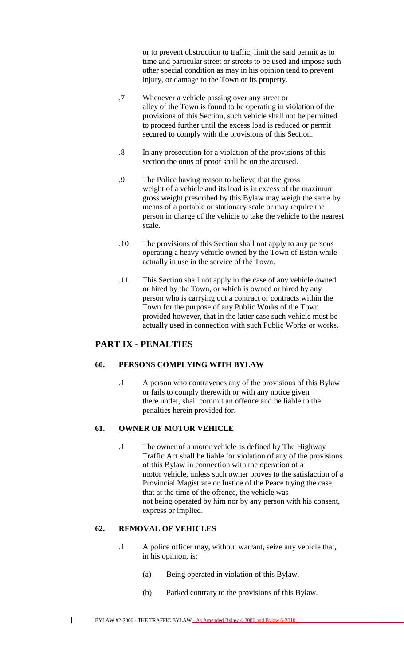or to prevent obstruction to traffic, limit the said permit as to time and particular street or streets to be used and impose such other special condition as may in his opinion tend to prevent injury, or damage to the Town or its property.

- .7 Whenever a vehicle passing over any street or alley of the Town is found to be operating in violation of the provisions of this Section, such vehicle shall not be permitted to proceed further until the excess load is reduced or permit secured to comply with the provisions of this Section.
- .8 In any prosecution for a violation of the provisions of this section the onus of proof shall be on the accused.
- .9 The Police having reason to believe that the gross weight of a vehicle and its load is in excess of the maximum gross weight prescribed by this Bylaw may weigh the same by means of a portable or stationary scale or may require the person in charge of the vehicle to take the vehicle to the nearest scale.
- .10 The provisions of this Section shall not apply to any persons operating a heavy vehicle owned by the Town of Eston while actually in use in the service of the Town.
- .11 This Section shall not apply in the case of any vehicle owned or hired by the Town, or which is owned or hired by any person who is carrying out a contract or contracts within the Town for the purpose of any Public Works of the Town provided however, that in the latter case such vehicle must be actually used in connection with such Public Works or works.

## **PART IX - PENALTIES**

## **60. PERSONS COMPLYING WITH BYLAW**

.1 A person who contravenes any of the provisions of this Bylaw or fails to comply therewith or with any notice given there under, shall commit an offence and be liable to the penalties herein provided for.

## **61. OWNER OF MOTOR VEHICLE**

.1 The owner of a motor vehicle as defined by The Highway Traffic Act shall be liable for violation of any of the provisions of this Bylaw in connection with the operation of a motor vehicle, unless such owner proves to the satisfaction of a Provincial Magistrate or Justice of the Peace trying the case, that at the time of the offence, the vehicle was not being operated by him nor by any person with his consent, express or implied.

## **62. REMOVAL OF VEHICLES**

- .1 A police officer may, without warrant, seize any vehicle that, in his opinion, is:
	- (a) Being operated in violation of this Bylaw.
	- (b) Parked contrary to the provisions of this Bylaw.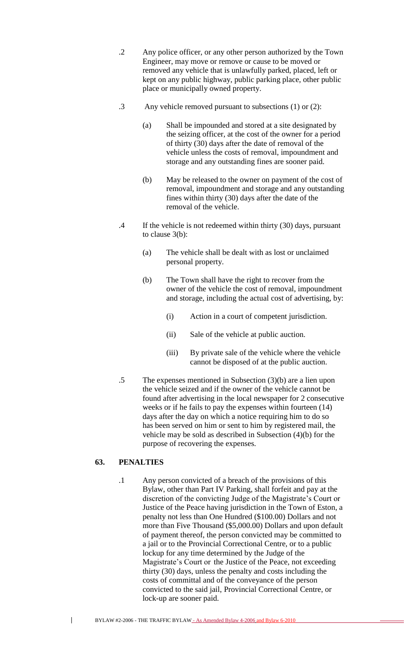- .2 Any police officer, or any other person authorized by the Town Engineer, may move or remove or cause to be moved or removed any vehicle that is unlawfully parked, placed, left or kept on any public highway, public parking place, other public place or municipally owned property.
- .3 Any vehicle removed pursuant to subsections (1) or (2):
	- (a) Shall be impounded and stored at a site designated by the seizing officer, at the cost of the owner for a period of thirty (30) days after the date of removal of the vehicle unless the costs of removal, impoundment and storage and any outstanding fines are sooner paid.
	- (b) May be released to the owner on payment of the cost of removal, impoundment and storage and any outstanding fines within thirty (30) days after the date of the removal of the vehicle.
- .4 If the vehicle is not redeemed within thirty (30) days, pursuant to clause 3(b):
	- (a) The vehicle shall be dealt with as lost or unclaimed personal property.
	- (b) The Town shall have the right to recover from the owner of the vehicle the cost of removal, impoundment and storage, including the actual cost of advertising, by:
		- (i) Action in a court of competent jurisdiction.
		- (ii) Sale of the vehicle at public auction.
		- (iii) By private sale of the vehicle where the vehicle cannot be disposed of at the public auction.
- .5 The expenses mentioned in Subsection (3)(b) are a lien upon the vehicle seized and if the owner of the vehicle cannot be found after advertising in the local newspaper for 2 consecutive weeks or if he fails to pay the expenses within fourteen (14) days after the day on which a notice requiring him to do so has been served on him or sent to him by registered mail, the vehicle may be sold as described in Subsection (4)(b) for the purpose of recovering the expenses.

## **63. PENALTIES**

 $\overline{\phantom{a}}$ 

.1 Any person convicted of a breach of the provisions of this Bylaw, other than Part IV Parking, shall forfeit and pay at the discretion of the convicting Judge of the Magistrate's Court or Justice of the Peace having jurisdiction in the Town of Eston, a penalty not less than One Hundred (\$100.00) Dollars and not more than Five Thousand (\$5,000.00) Dollars and upon default of payment thereof, the person convicted may be committed to a jail or to the Provincial Correctional Centre, or to a public lockup for any time determined by the Judge of the Magistrate's Court or the Justice of the Peace, not exceeding thirty (30) days, unless the penalty and costs including the costs of committal and of the conveyance of the person convicted to the said jail, Provincial Correctional Centre, or lock-up are sooner paid.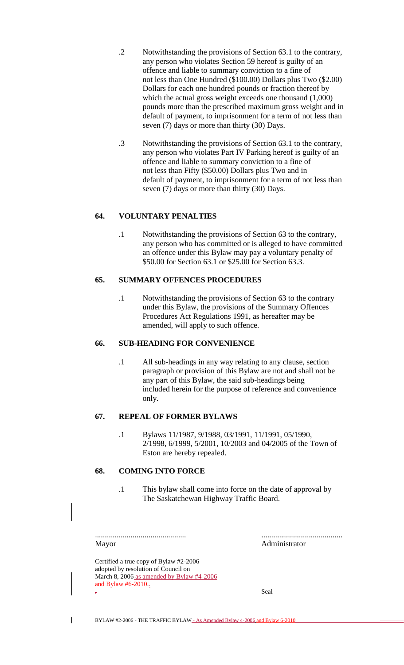- .2 Notwithstanding the provisions of Section 63.1 to the contrary, any person who violates Section 59 hereof is guilty of an offence and liable to summary conviction to a fine of not less than One Hundred (\$100.00) Dollars plus Two (\$2.00) Dollars for each one hundred pounds or fraction thereof by which the actual gross weight exceeds one thousand (1,000) pounds more than the prescribed maximum gross weight and in default of payment, to imprisonment for a term of not less than seven (7) days or more than thirty (30) Days.
- .3 Notwithstanding the provisions of Section 63.1 to the contrary, any person who violates Part IV Parking hereof is guilty of an offence and liable to summary conviction to a fine of not less than Fifty (\$50.00) Dollars plus Two and in default of payment, to imprisonment for a term of not less than seven (7) days or more than thirty (30) Days.

## **64. VOLUNTARY PENALTIES**

.1 Notwithstanding the provisions of Section 63 to the contrary, any person who has committed or is alleged to have committed an offence under this Bylaw may pay a voluntary penalty of \$50.00 for Section 63.1 or \$25.00 for Section 63.3.

## **65. SUMMARY OFFENCES PROCEDURES**

.1 Notwithstanding the provisions of Section 63 to the contrary under this Bylaw, the provisions of the Summary Offences Procedures Act Regulations 1991, as hereafter may be amended, will apply to such offence.

#### **66. SUB-HEADING FOR CONVENIENCE**

.1 All sub-headings in any way relating to any clause, section paragraph or provision of this Bylaw are not and shall not be any part of this Bylaw, the said sub-headings being included herein for the purpose of reference and convenience only.

## **67. REPEAL OF FORMER BYLAWS**

.1 Bylaws 11/1987, 9/1988, 03/1991, 11/1991, 05/1990, 2/1998, 6/1999, 5/2001, 10/2003 and 04/2005 of the Town of Eston are hereby repealed.

#### **68. COMING INTO FORCE**

.1 This bylaw shall come into force on the date of approval by The Saskatchewan Highway Traffic Board.

.............................................. ......................................... Mayor Administrator

 $\mathbf{I}$ 

Certified a true copy of Bylaw #2-2006 adopted by resolution of Council on March 8, 2006 as amended by Bylaw #4-2006 and Bylaw #6-2010. . Seal states of the states of the states of the states of the states of the states of the states of the states of the states of the states of the states of the states of the states of the states of the states of the state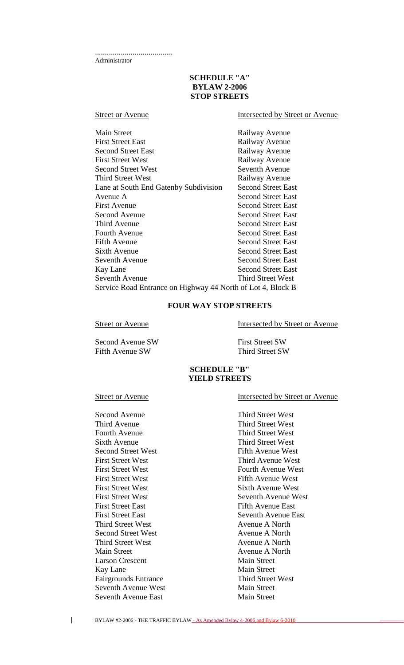.......................................

Administrator

#### **SCHEDULE "A" BYLAW 2-2006 STOP STREETS**

## Street or Avenue Intersected by Street or Avenue

| <b>Main Street</b>                                          | Railway Avenue            |
|-------------------------------------------------------------|---------------------------|
| <b>First Street East</b>                                    | Railway Avenue            |
| <b>Second Street East</b>                                   | Railway Avenue            |
| <b>First Street West</b>                                    | Railway Avenue            |
| <b>Second Street West</b>                                   | Seventh Avenue            |
| Third Street West                                           | Railway Avenue            |
| Lane at South End Gatenby Subdivision                       | <b>Second Street East</b> |
| Avenue A                                                    | <b>Second Street East</b> |
| <b>First Avenue</b>                                         | <b>Second Street East</b> |
| Second Avenue                                               | <b>Second Street East</b> |
| Third Avenue                                                | <b>Second Street East</b> |
| <b>Fourth Avenue</b>                                        | <b>Second Street East</b> |
| Fifth Avenue                                                | <b>Second Street East</b> |
| Sixth Avenue                                                | <b>Second Street East</b> |
| Seventh Avenue                                              | <b>Second Street East</b> |
| Kay Lane                                                    | <b>Second Street East</b> |
| Seventh Avenue                                              | Third Street West         |
| Service Road Entrance on Highway 44 North of Lot 4, Block B |                           |

# **FOUR WAY STOP STREETS**

Second Avenue SW First Street SW Fifth Avenue SW Third Street SW

Street or Avenue<br>Intersected by Street or Avenue

## **SCHEDULE "B" YIELD STREETS**

Second Avenue Third Street West Third Avenue Third Street West Fourth Avenue Third Street West Sixth Avenue<br>
Second Street West<br>
Second Street West<br>
Third Street West<br>
Fifth Avenue West Second Street West First Street West **Third Avenue West** First Street West **Fifth Avenue West** First Street West Sixth Avenue West First Street East<br>
Fifth Avenue East<br>
First Street East<br>
Seventh Avenue E Third Street West Avenue A North Second Street West Avenue A North Third Street West Avenue A North Main Street Avenue A North Larson Crescent Main Street Kay Lane Main Street Fairgrounds Entrance Third Street West Seventh Avenue West Main Street Seventh Avenue East Main Street

## Street or Avenue Intersected by Street or Avenue

First Street West **Fourth Avenue West** First Street West Seventh Avenue West Seventh Avenue East